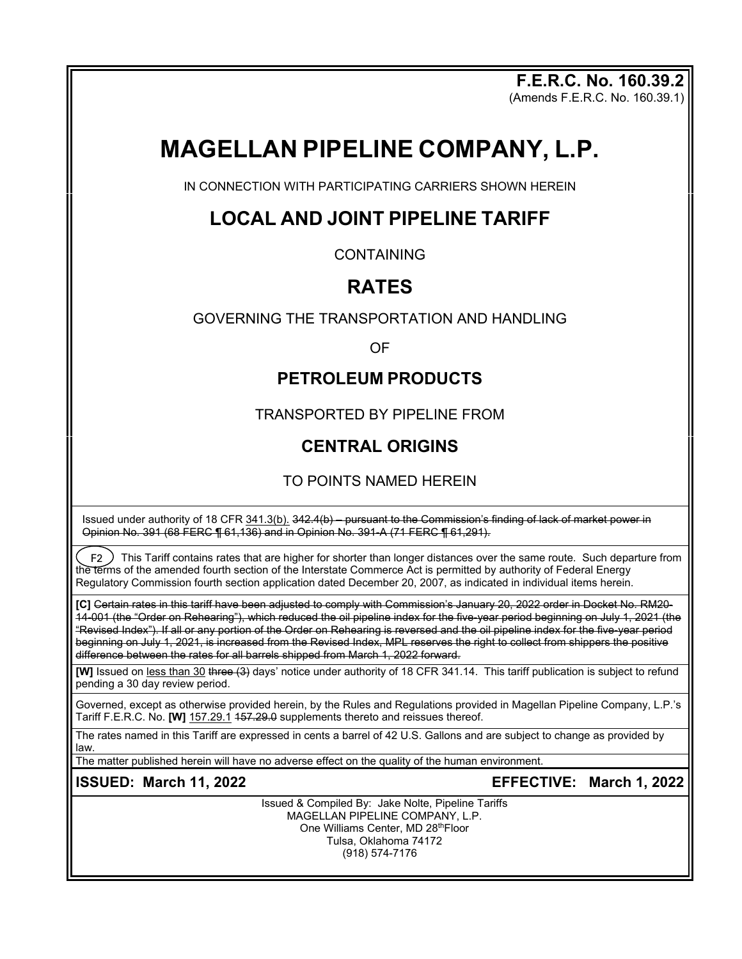**F.E.R.C. No. 160.39.2** (Amends F.E.R.C. No. 160.39.1)

# **MAGELLAN PIPELINE COMPANY, L.P.**

IN CONNECTION WITH PARTICIPATING CARRIERS SHOWN HEREIN

### **LOCAL AND JOINT PIPELINE TARIFF**

**CONTAINING** 

## **RATES**

GOVERNING THE TRANSPORTATION AND HANDLING

OF

### **PETROLEUM PRODUCTS**

TRANSPORTED BY PIPELINE FROM

### **CENTRAL ORIGINS**

### TO POINTS NAMED HEREIN

Issued under authority of 18 CFR 341.3(b). 342.4(b) – pursuant to the Commission's finding of lack of market power in Opinion No. 391 (68 FERC ¶ 61,136) and in Opinion No. 391-A (71 FERC ¶ 61,291).

 $\spadesuit$  F2  $\spadesuit$  This Tariff contains rates that are higher for shorter than longer distances over the same route. Such departure from the terms of the amended fourth section of the Interstate Commerce Act is permitted by authority of Federal Energy Regulatory Commission fourth section application dated December 20, 2007, as indicated in individual items herein.

**[C]** Certain rates in this tariff have been adjusted to comply with Commission's January 20, 2022 order in Docket No. RM20- 14-001 (the "Order on Rehearing"), which reduced the oil pipeline index for the five-year period beginning on July 1, 2021 (the "Revised Index"). If all or any portion of the Order on Rehearing is reversed and the oil pipeline index for the five-year period beginning on July 1, 2021, is increased from the Revised Index, MPL reserves the right to collect from shippers the positive difference between the rates for all barrels shipped from March 1, 2022 forward.

**[W]** Issued on less than 30 three (3) days' notice under authority of 18 CFR 341.14. This tariff publication is subject to refund pending a 30 day review period.

Governed, except as otherwise provided herein, by the Rules and Regulations provided in Magellan Pipeline Company, L.P.'s Tariff F.E.R.C. No. **[W]** 157.29.1 157.29.0 supplements thereto and reissues thereof.

The rates named in this Tariff are expressed in cents a barrel of 42 U.S. Gallons and are subject to change as provided by law.

The matter published herein will have no adverse effect on the quality of the human environment.

**ISSUED: March 11, 2022 EFFECTIVE: March 1, 2022**

Issued & Compiled By: Jake Nolte, Pipeline Tariffs MAGELLAN PIPELINE COMPANY, L.P. One Williams Center, MD 28thFloor Tulsa, Oklahoma 74172 (918) 574-7176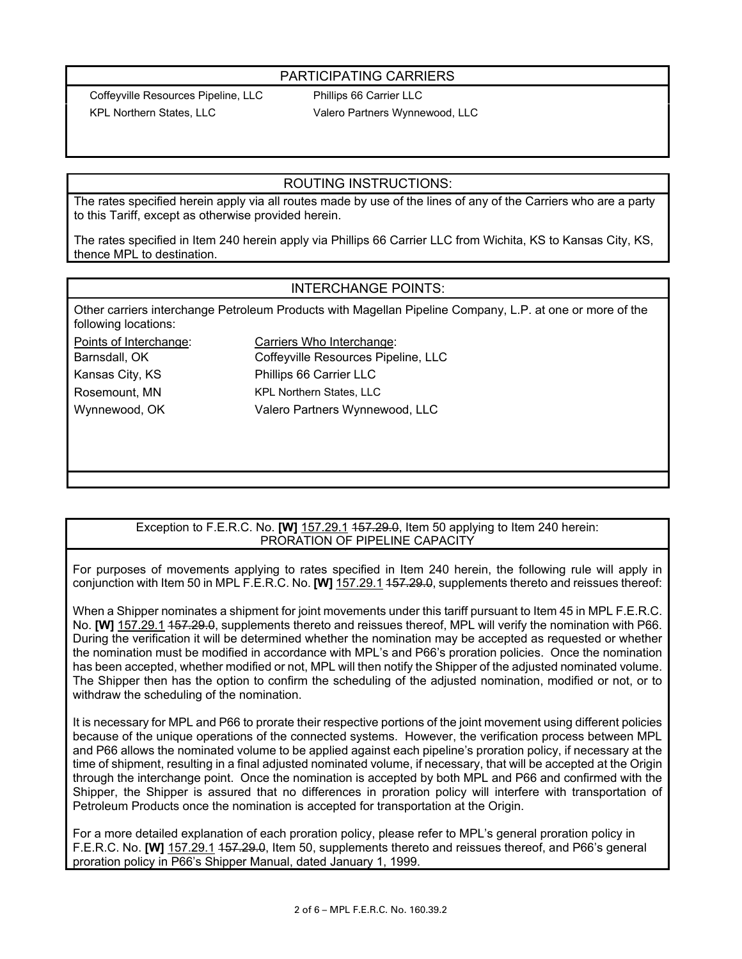#### PARTICIPATING CARRIERS

Coffeyville Resources Pipeline, LLC Phillips 66 Carrier LLC

KPL Northern States, LLC Valero Partners Wynnewood, LLC

#### ROUTING INSTRUCTIONS:

The rates specified herein apply via all routes made by use of the lines of any of the Carriers who are a party to this Tariff, except as otherwise provided herein.

The rates specified in Item 240 herein apply via Phillips 66 Carrier LLC from Wichita, KS to Kansas City, KS, thence MPL to destination.

#### INTERCHANGE POINTS:

Other carriers interchange Petroleum Products with Magellan Pipeline Company, L.P. at one or more of the following locations:

Points of Interchange: Carriers Who Interchange: Barnsdall, OK Coffeyville Resources Pipeline, LLC Kansas City, KS Phillips 66 Carrier LLC Rosemount, MN KPL Northern States, LLC Wynnewood, OK Valero Partners Wynnewood, LLC

#### Exception to F.E.R.C. No. **[W]** 157.29.1 157.29.0, Item 50 applying to Item 240 herein: PRORATION OF PIPELINE CAPACITY

For purposes of movements applying to rates specified in Item 240 herein, the following rule will apply in conjunction with Item 50 in MPL F.E.R.C. No. **[W]** 157.29.1 157.29.0, supplements thereto and reissues thereof:

When a Shipper nominates a shipment for joint movements under this tariff pursuant to Item 45 in MPL F.E.R.C. No. **[W]** 157.29.1 157.29.0, supplements thereto and reissues thereof, MPL will verify the nomination with P66. During the verification it will be determined whether the nomination may be accepted as requested or whether the nomination must be modified in accordance with MPL's and P66's proration policies. Once the nomination has been accepted, whether modified or not, MPL will then notify the Shipper of the adjusted nominated volume. The Shipper then has the option to confirm the scheduling of the adjusted nomination, modified or not, or to withdraw the scheduling of the nomination.

It is necessary for MPL and P66 to prorate their respective portions of the joint movement using different policies because of the unique operations of the connected systems. However, the verification process between MPL and P66 allows the nominated volume to be applied against each pipeline's proration policy, if necessary at the time of shipment, resulting in a final adjusted nominated volume, if necessary, that will be accepted at the Origin through the interchange point. Once the nomination is accepted by both MPL and P66 and confirmed with the Shipper, the Shipper is assured that no differences in proration policy will interfere with transportation of Petroleum Products once the nomination is accepted for transportation at the Origin.

For a more detailed explanation of each proration policy, please refer to MPL's general proration policy in F.E.R.C. No. **[W]** 157.29.1 157.29.0, Item 50, supplements thereto and reissues thereof, and P66's general proration policy in P66's Shipper Manual, dated January 1, 1999.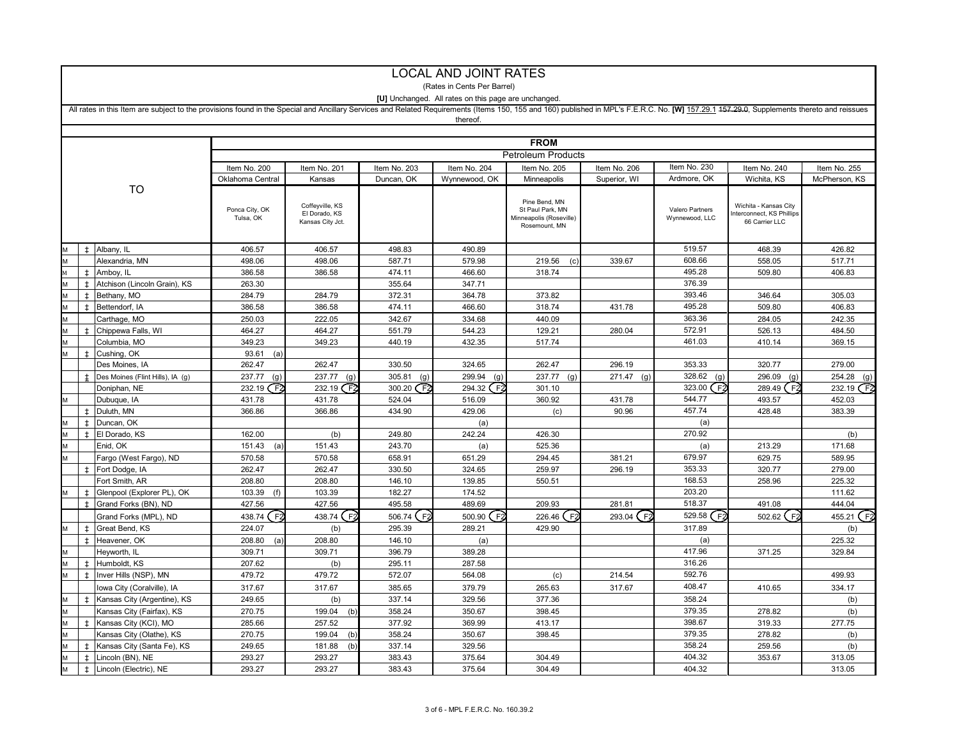|    |            |                                                                                                                                                                                                                               |                             |                                                      |               | (Rates in Cents Per Barrel)                          |                                                                               |              |                                   |                                                                     |               |  |
|----|------------|-------------------------------------------------------------------------------------------------------------------------------------------------------------------------------------------------------------------------------|-----------------------------|------------------------------------------------------|---------------|------------------------------------------------------|-------------------------------------------------------------------------------|--------------|-----------------------------------|---------------------------------------------------------------------|---------------|--|
|    |            |                                                                                                                                                                                                                               |                             |                                                      |               | [U] Unchanged. All rates on this page are unchanged. |                                                                               |              |                                   |                                                                     |               |  |
|    |            | All rates in this Item are subject to the provisions found in the Special and Ancillary Services and Related Requirements (Items 150, 155 and 160) published in MPL's F.E.R.C. No. [W] 157.29.1 157.29.0, Supplements thereto |                             |                                                      |               |                                                      |                                                                               |              |                                   |                                                                     |               |  |
|    |            |                                                                                                                                                                                                                               |                             |                                                      |               | thereof.                                             |                                                                               |              |                                   |                                                                     |               |  |
|    |            |                                                                                                                                                                                                                               |                             |                                                      |               |                                                      |                                                                               |              |                                   |                                                                     |               |  |
|    |            |                                                                                                                                                                                                                               |                             |                                                      |               |                                                      | <b>FROM</b>                                                                   |              |                                   |                                                                     |               |  |
|    |            |                                                                                                                                                                                                                               | <b>Petroleum Products</b>   |                                                      |               |                                                      |                                                                               |              |                                   |                                                                     |               |  |
|    |            |                                                                                                                                                                                                                               | Item No. 200                | Item No. 201                                         | Item No. 203  | Item No. 204                                         | Item No. 205                                                                  | Item No. 206 | Item No. 230                      | Item No. 240                                                        | Item No. 255  |  |
|    |            |                                                                                                                                                                                                                               | Oklahoma Central            | Kansas                                               | Duncan, OK    | Wynnewood, OK                                        | Minneapolis                                                                   | Superior, WI | Ardmore, OK                       | Wichita, KS                                                         | McPherson, KS |  |
| TO |            |                                                                                                                                                                                                                               | Ponca City, OK<br>Tulsa, OK | Coffeyville, KS<br>El Dorado, KS<br>Kansas City Jct. |               |                                                      | Pine Bend, MN<br>St Paul Park, MN<br>Minneapolis (Roseville)<br>Rosemount, MN |              | Valero Partners<br>Wynnewood, LLC | Wichita - Kansas City<br>nterconnect, KS Phillips<br>66 Carrier LLC |               |  |
|    | $\pm$      | Albany, IL                                                                                                                                                                                                                    | 406.57                      | 406.57                                               | 498.83        | 490.89                                               |                                                                               |              | 519.57                            | 468.39                                                              | 426.82        |  |
|    |            | Alexandria, MN                                                                                                                                                                                                                | 498.06                      | 498.06                                               | 587.71        | 579.98                                               | 219.56<br>(c                                                                  | 339.67       | 608.66                            | 558.05                                                              | 517.71        |  |
| M  | $\pm$      | Amboy, IL                                                                                                                                                                                                                     | 386.58                      | 386.58                                               | 474.11        | 466.60                                               | 318.74                                                                        |              | 495.28                            | 509.80                                                              | 406.83        |  |
|    | $\pm$      | Atchison (Lincoln Grain), KS                                                                                                                                                                                                  | 263.30                      |                                                      | 355.64        | 347.71                                               |                                                                               |              | 376.39                            |                                                                     |               |  |
|    | $\ddagger$ | Bethany, MO                                                                                                                                                                                                                   | 284.79                      | 284.79                                               | 372.31        | 364.78                                               | 373.82                                                                        |              | 393.46                            | 346.64                                                              | 305.03        |  |
|    | $\pm$      | Bettendorf, IA                                                                                                                                                                                                                | 386.58                      | 386.58                                               | 474.11        | 466.60                                               | 318.74                                                                        | 431.78       | 495.28                            | 509.80                                                              | 406.83        |  |
| M  |            | Carthage, MO                                                                                                                                                                                                                  | 250.03                      | 222.05                                               | 342.67        | 334.68                                               | 440.09                                                                        |              | 363.36                            | 284.05                                                              | 242.35        |  |
|    | $\pm$      | Chippewa Falls, WI                                                                                                                                                                                                            | 464.27                      | 464.27                                               | 551.79        | 544.23                                               | 129.21                                                                        | 280.04       | 572.91                            | 526.13                                                              | 484.50        |  |
|    |            | Columbia, MO                                                                                                                                                                                                                  | 349.23                      | 349.23                                               | 440.19        | 432.35                                               | 517.74                                                                        |              | 461.03                            | 410.14                                                              | 369.15        |  |
| M  | $\pm$      | Cushing, OK                                                                                                                                                                                                                   | 93.61<br>(a)                |                                                      |               |                                                      |                                                                               |              |                                   |                                                                     |               |  |
|    |            | Des Moines, IA                                                                                                                                                                                                                | 262.47                      | 262.47                                               | 330.50        | 324.65                                               | 262.47                                                                        | 296.19       | 353.33                            | 320.77                                                              | 279.00        |  |
|    |            | Des Moines (Flint Hills), IA (q)                                                                                                                                                                                              | 237.77<br>(q)               | 237.77<br>(q)                                        | 305.81<br>(q) | 299.94<br>(q)                                        | 237.77<br>(q)                                                                 | $271.47$ (g) | 328.62<br>(g)                     | 296.09<br>(q)                                                       | 254.28<br>(q) |  |
|    |            | Doniphan, NE                                                                                                                                                                                                                  | 232.19 F2                   | 232.19 F2                                            | 300.20 F2     | (F2<br>294.32                                        | 301.10                                                                        |              | $\mathsf{F}2$<br>323.00           | 289.49 (F2                                                          | 232.19 F2     |  |
|    |            | Dubuque, IA                                                                                                                                                                                                                   | 431.78                      | 431.78                                               | 524.04        | 516.09                                               | 360.92                                                                        | 431.78       | 544.77                            | 493.57                                                              | 452.03        |  |
|    | $\pm$      | Duluth, MN                                                                                                                                                                                                                    | 366.86                      | 366.86                                               | 434.90        | 429.06                                               | (c)                                                                           | 90.96        | 457.74                            | 428.48                                                              | 383.39        |  |
|    | $\pm$      | Duncan, OK                                                                                                                                                                                                                    |                             |                                                      |               | (a)                                                  |                                                                               |              | (a)                               |                                                                     |               |  |
|    | $\pm$      | El Dorado, KS                                                                                                                                                                                                                 | 162.00                      | (b)                                                  | 249.80        | 242.24                                               | 426.30                                                                        |              | 270.92                            |                                                                     | (b)           |  |
| M  |            | Enid, OK                                                                                                                                                                                                                      | 151.43<br>(a)               | 151.43                                               | 243.70        | (a)                                                  | 525.36                                                                        |              | (a)                               | 213.29                                                              | 171.68        |  |
| M  |            | Fargo (West Fargo), ND                                                                                                                                                                                                        | 570.58                      | 570.58                                               | 658.91        | 651.29                                               | 294.45                                                                        | 381.21       | 679.97                            | 629.75                                                              | 589.95        |  |
|    | $\pm$      | Fort Dodge, IA                                                                                                                                                                                                                | 262.47                      | 262.47                                               | 330.50        | 324.65                                               | 259.97                                                                        | 296.19       | 353.33                            | 320.77                                                              | 279.00        |  |
|    |            | Fort Smith, AR                                                                                                                                                                                                                | 208.80                      | 208.80                                               | 146.10        | 139.85                                               | 550.51                                                                        |              | 168.53                            | 258.96                                                              | 225.32        |  |
|    | $\pm$      | Glenpool (Explorer PL), OK                                                                                                                                                                                                    | 103.39<br>(f)               | 103.39                                               | 182.27        | 174.52                                               |                                                                               |              | 203.20                            |                                                                     | 111.62        |  |
|    | $\pm$      | Grand Forks (BN), ND                                                                                                                                                                                                          | 427.56                      | 427.56                                               | 495.58        | 489.69                                               | 209.93                                                                        | 281.81       | 518.37                            | 491.08                                                              | 444.04        |  |
|    |            | Grand Forks (MPL), ND                                                                                                                                                                                                         | 438.74 (F2                  | 438.74 F2                                            | (F2<br>506.74 | 500.90 (F2                                           | 226.46 (F2                                                                    | 293.04 (F2   | 529.58 $F2$                       | 502.62 (F2                                                          | 455.21 (F2    |  |
| M  | $\ddagger$ | Great Bend, KS                                                                                                                                                                                                                | 224.07                      | (b)                                                  | 295.39        | 289.21                                               | 429.90                                                                        |              | 317.89                            |                                                                     | (b)           |  |
|    | $\pm$      | Heavener, OK                                                                                                                                                                                                                  | 208.80<br>(a)               | 208.80                                               | 146.10        | (a)                                                  |                                                                               |              | (a)                               |                                                                     | 225.32        |  |
| M  |            | Heyworth, IL                                                                                                                                                                                                                  | 309.71                      | 309.71                                               | 396.79        | 389.28                                               |                                                                               |              | 417.96                            | 371.25                                                              | 329.84        |  |
|    | $\pm$      | Humboldt, KS                                                                                                                                                                                                                  | 207.62                      | (b)                                                  | 295.11        | 287.58                                               |                                                                               |              | 316.26                            |                                                                     |               |  |
| M  | $\pm$      | Inver Hills (NSP), MN                                                                                                                                                                                                         | 479.72                      | 479.72                                               | 572.07        | 564.08                                               | (c)                                                                           | 214.54       | 592.76                            |                                                                     | 499.93        |  |
|    |            | Iowa City (Coralville), IA                                                                                                                                                                                                    | 317.67                      | 317.67                                               | 385.65        | 379.79                                               | 265.63                                                                        | 317.67       | 408.47                            | 410.65                                                              | 334.17        |  |
| M  | $\pm$      | Kansas City (Argentine), KS                                                                                                                                                                                                   | 249.65                      | (b)                                                  | 337.14        | 329.56                                               | 377.36                                                                        |              | 358.24                            |                                                                     | (b)           |  |
|    |            | Kansas City (Fairfax), KS                                                                                                                                                                                                     | 270.75                      | 199.04                                               | 358.24        | 350.67                                               | 398.45                                                                        |              | 379.35                            | 278.82                                                              | (b)           |  |
| M  | $\pm$      | Kansas City (KCI), MO                                                                                                                                                                                                         | 285.66                      | 257.52                                               | 377.92        | 369.99                                               | 413.17                                                                        |              | 398.67                            | 319.33                                                              | 277.75        |  |
|    |            | Kansas City (Olathe), KS                                                                                                                                                                                                      | 270.75                      | 199.04<br>(b)                                        | 358.24        | 350.67                                               | 398.45                                                                        |              | 379.35                            | 278.82                                                              | (b)           |  |
| M  | Ŧ          | Kansas City (Santa Fe), KS                                                                                                                                                                                                    | 249.65                      | 181.88<br>(b                                         | 337.14        | 329.56                                               |                                                                               |              | 358.24                            | 259.56                                                              | (b)           |  |
|    | $\ddagger$ | Lincoln (BN), NE                                                                                                                                                                                                              | 293.27                      | 293.27                                               | 383.43        | 375.64                                               | 304.49                                                                        |              | 404.32                            | 353.67                                                              | 313.05        |  |
| M  | $\pm$      | Lincoln (Electric), NE                                                                                                                                                                                                        | 293.27                      | 293.27                                               | 383.43        | 375.64                                               | 304.49                                                                        |              | 404.32                            |                                                                     | 313.05        |  |

LOCAL AND JOINT RATES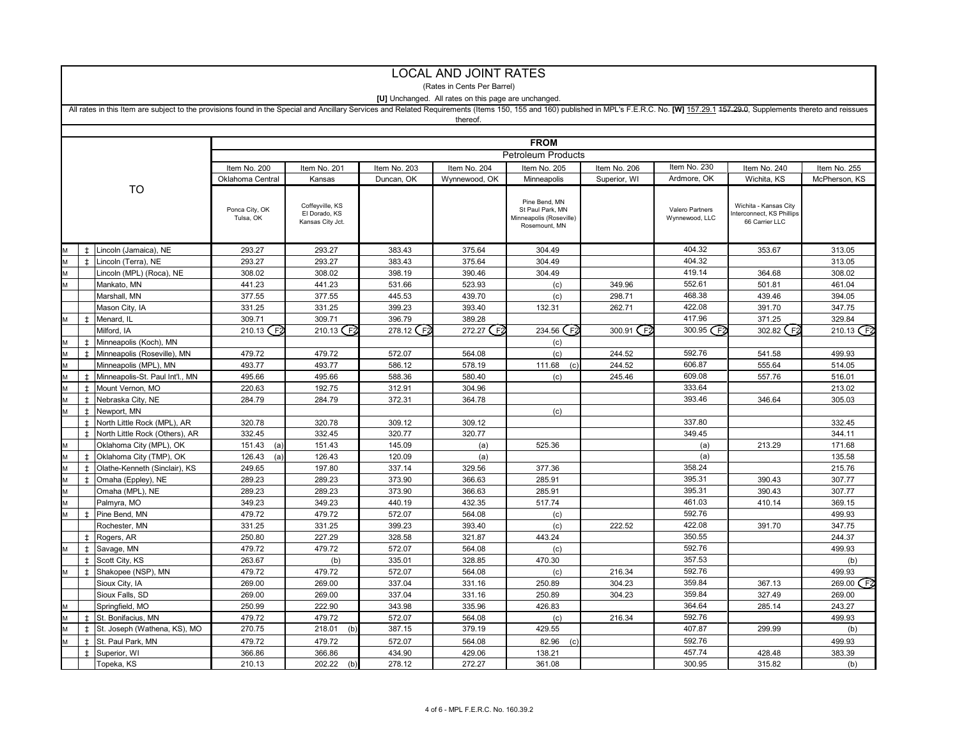|   |                |                                                                                                                                                                                                                               |                             |                                                      |              | (Rates in Cents Per Barrel)                                 |                                                                               |              |                                   |                                                                     |               |  |  |
|---|----------------|-------------------------------------------------------------------------------------------------------------------------------------------------------------------------------------------------------------------------------|-----------------------------|------------------------------------------------------|--------------|-------------------------------------------------------------|-------------------------------------------------------------------------------|--------------|-----------------------------------|---------------------------------------------------------------------|---------------|--|--|
|   |                |                                                                                                                                                                                                                               |                             |                                                      |              | <b>IU1</b> Unchanged. All rates on this page are unchanged. |                                                                               |              |                                   |                                                                     |               |  |  |
|   |                | All rates in this Item are subject to the provisions found in the Special and Ancillary Services and Related Requirements (Items 150, 155 and 160) published in MPL's F.E.R.C. No. [W] 157.29.1 157.29.0, Supplements thereto |                             |                                                      |              |                                                             |                                                                               |              |                                   |                                                                     |               |  |  |
|   |                |                                                                                                                                                                                                                               |                             |                                                      |              | thereof.                                                    |                                                                               |              |                                   |                                                                     |               |  |  |
|   |                |                                                                                                                                                                                                                               |                             |                                                      |              |                                                             |                                                                               |              |                                   |                                                                     |               |  |  |
|   |                |                                                                                                                                                                                                                               |                             |                                                      |              |                                                             | <b>FROM</b>                                                                   |              |                                   |                                                                     |               |  |  |
|   |                |                                                                                                                                                                                                                               | <b>Petroleum Products</b>   |                                                      |              |                                                             |                                                                               |              |                                   |                                                                     |               |  |  |
|   |                |                                                                                                                                                                                                                               | Item No. 200                | Item No. 201                                         | Item No. 203 | Item No. 204                                                | Item No. 205                                                                  | Item No. 206 | Item No. 230                      | Item No. 240                                                        | Item No. 255  |  |  |
|   |                |                                                                                                                                                                                                                               | Oklahoma Central            | Kansas                                               | Duncan, OK   | Wynnewood, OK                                               | Minneapolis                                                                   | Superior, WI | Ardmore, OK                       | Wichita, KS                                                         | McPherson, KS |  |  |
|   |                | TO                                                                                                                                                                                                                            |                             |                                                      |              |                                                             |                                                                               |              |                                   |                                                                     |               |  |  |
|   |                |                                                                                                                                                                                                                               | Ponca City, OK<br>Tulsa, OK | Coffeyville, KS<br>El Dorado, KS<br>Kansas City Jct. |              |                                                             | Pine Bend, MN<br>St Paul Park, MN<br>Minneapolis (Roseville)<br>Rosemount, MN |              | Valero Partners<br>Wynnewood, LLC | Wichita - Kansas City<br>nterconnect, KS Phillips<br>66 Carrier LLC |               |  |  |
|   |                |                                                                                                                                                                                                                               |                             |                                                      |              |                                                             |                                                                               |              |                                   |                                                                     |               |  |  |
|   |                | <sup>‡</sup> Lincoln (Jamaica), NE                                                                                                                                                                                            | 293.27                      | 293.27                                               | 383.43       | 375.64                                                      | 304.49                                                                        |              | 404.32                            | 353.67                                                              | 313.05        |  |  |
|   | $\pm$          | Lincoln (Terra), NE                                                                                                                                                                                                           | 293.27                      | 293.27                                               | 383.43       | 375.64                                                      | 304.49                                                                        |              | 404.32                            |                                                                     | 313.05        |  |  |
|   |                | Lincoln (MPL) (Roca), NE                                                                                                                                                                                                      | 308.02                      | 308.02                                               | 398.19       | 390.46                                                      | 304.49                                                                        |              | 419.14                            | 364.68                                                              | 308.02        |  |  |
|   |                | Mankato, MN                                                                                                                                                                                                                   | 441.23                      | 441.23                                               | 531.66       | 523.93                                                      | (c)                                                                           | 349.96       | 552.61                            | 501.81                                                              | 461.04        |  |  |
|   |                | Marshall, MN                                                                                                                                                                                                                  | 377.55                      | 377.55                                               | 445.53       | 439.70                                                      | (c)                                                                           | 298.71       | 468.38                            | 439.46                                                              | 394.05        |  |  |
|   |                | Mason City, IA                                                                                                                                                                                                                | 331.25                      | 331.25                                               | 399.23       | 393.40                                                      | 132.31                                                                        | 262.71       | 422.08                            | 391.70                                                              | 347.75        |  |  |
|   | $\pm$          | Menard, IL                                                                                                                                                                                                                    | 309.71                      | 309.71                                               | 396.79       | 389.28                                                      |                                                                               |              | 417.96                            | 371.25                                                              | 329.84        |  |  |
|   |                | Milford, IA                                                                                                                                                                                                                   | 210.13 $F2$                 | 210.13 $F2$                                          | 278.12 (F2   | 272.27<br>F <sub>2</sub>                                    | 234.56<br>ُ F                                                                 | 300.91 F2    | 300.95 $F2$                       | 302.82 (F2                                                          | 210.13 $F$    |  |  |
| M | $\pm$          | Minneapolis (Koch), MN                                                                                                                                                                                                        |                             |                                                      |              |                                                             | (c)                                                                           |              |                                   |                                                                     |               |  |  |
|   | $\pm$          | Minneapolis (Roseville), MN                                                                                                                                                                                                   | 479.72                      | 479.72                                               | 572.07       | 564.08                                                      | (c)                                                                           | 244.52       | 592.76                            | 541.58                                                              | 499.93        |  |  |
| M |                | Minneapolis (MPL), MN                                                                                                                                                                                                         | 493.77                      | 493.77                                               | 586.12       | 578.19                                                      | 111.68<br>(c                                                                  | 244.52       | 606.87                            | 555.64                                                              | 514.05        |  |  |
|   | $\pm$          | Minneapolis-St. Paul Int'l., MN                                                                                                                                                                                               | 495.66                      | 495.66                                               | 588.36       | 580.40                                                      | (c)                                                                           | 245.46       | 609.08                            | 557.76                                                              | 516.01        |  |  |
|   | $\pm$          | Mount Vernon, MO                                                                                                                                                                                                              | 220.63                      | 192.75                                               | 312.91       | 304.96                                                      |                                                                               |              | 333.64                            |                                                                     | 213.02        |  |  |
|   | $\pm$          | Nebraska City, NE                                                                                                                                                                                                             | 284.79                      | 284.79                                               | 372.31       | 364.78                                                      |                                                                               |              | 393.46                            | 346.64                                                              | 305.03        |  |  |
|   | $\pm$          | Newport, MN                                                                                                                                                                                                                   |                             |                                                      |              |                                                             | (c)                                                                           |              |                                   |                                                                     |               |  |  |
|   | $\pm$          | North Little Rock (MPL), AR                                                                                                                                                                                                   | 320.78                      | 320.78                                               | 309.12       | 309.12                                                      |                                                                               |              | 337.80                            |                                                                     | 332.45        |  |  |
|   | $\pm$          | North Little Rock (Others), AR                                                                                                                                                                                                | 332.45                      | 332.45                                               | 320.77       | 320.77                                                      |                                                                               |              | 349.45                            |                                                                     | 344.11        |  |  |
|   |                | Oklahoma City (MPL), OK                                                                                                                                                                                                       | 151.43<br>(a`               | 151.43                                               | 145.09       | (a)                                                         | 525.36                                                                        |              | (a)                               | 213.29                                                              | 171.68        |  |  |
|   | $\pm$          | Oklahoma City (TMP), OK                                                                                                                                                                                                       | 126.43<br>(a)               | 126.43                                               | 120.09       | (a)                                                         |                                                                               |              | (a)                               |                                                                     | 135.58        |  |  |
| M | $\pm$          | Olathe-Kenneth (Sinclair), KS                                                                                                                                                                                                 | 249.65                      | 197.80                                               | 337.14       | 329.56                                                      | 377.36                                                                        |              | 358.24                            |                                                                     | 215.76        |  |  |
|   | $\pm$          | Omaha (Eppley), NE                                                                                                                                                                                                            | 289.23                      | 289.23                                               | 373.90       | 366.63                                                      | 285.91                                                                        |              | 395.31                            | 390.43                                                              | 307.77        |  |  |
| M |                | Omaha (MPL), NE                                                                                                                                                                                                               | 289.23                      | 289.23                                               | 373.90       | 366.63                                                      | 285.91                                                                        |              | 395.31                            | 390.43                                                              | 307.77        |  |  |
|   |                | Palmyra, MO                                                                                                                                                                                                                   | 349.23                      | 349.23                                               | 440.19       | 432.35                                                      | 517.74                                                                        |              | 461.03                            | 410.14                                                              | 369.15        |  |  |
|   | $\overline{1}$ | Pine Bend, MN                                                                                                                                                                                                                 | 479.72                      | 479.72                                               | 572.07       | 564.08                                                      | (c)                                                                           |              | 592.76                            |                                                                     | 499.93        |  |  |
|   |                | Rochester, MN                                                                                                                                                                                                                 | 331.25                      | 331.25                                               | 399.23       | 393.40                                                      | (c)                                                                           | 222.52       | 422.08                            | 391.70                                                              | 347.75        |  |  |
|   | $\pm$          | Rogers, AR                                                                                                                                                                                                                    | 250.80                      | 227.29                                               | 328.58       | 321.87                                                      | 443.24                                                                        |              | 350.55                            |                                                                     | 244.37        |  |  |
|   | $\ddagger$     | Savage, MN                                                                                                                                                                                                                    | 479.72                      | 479.72                                               | 572.07       | 564.08                                                      | (c)                                                                           |              | 592.76                            |                                                                     | 499.93        |  |  |
|   | $\ddagger$     | Scott City, KS                                                                                                                                                                                                                | 263.67                      | (b)                                                  | 335.01       | 328.85                                                      | 470.30                                                                        |              | 357.53                            |                                                                     | (b)           |  |  |
|   | $\pm$          | Shakopee (NSP), MN                                                                                                                                                                                                            | 479.72                      | 479.72                                               | 572.07       | 564.08                                                      | (c)                                                                           | 216.34       | 592.76                            |                                                                     | 499.93        |  |  |
|   |                | Sioux City, IA                                                                                                                                                                                                                | 269.00                      | 269.00                                               | 337.04       | 331.16                                                      | 250.89                                                                        | 304.23       | 359.84                            | 367.13                                                              | 269.00 F2     |  |  |
|   |                | Sioux Falls, SD                                                                                                                                                                                                               | 269.00                      | 269.00                                               | 337.04       | 331.16                                                      | 250.89                                                                        | 304.23       | 359.84                            | 327.49                                                              | 269.00        |  |  |
|   |                | Springfield, MO                                                                                                                                                                                                               | 250.99                      | 222.90                                               | 343.98       | 335.96                                                      | 426.83                                                                        |              | 364.64                            | 285.14                                                              | 243.27        |  |  |
| M | $\pm$          | St. Bonifacius, MN                                                                                                                                                                                                            | 479.72                      | 479.72                                               | 572.07       | 564.08                                                      | (c)                                                                           | 216.34       | 592.76                            |                                                                     | 499.93        |  |  |
|   | $\pm$          | St. Joseph (Wathena, KS), MO                                                                                                                                                                                                  | 270.75                      | 218.01<br>(b)                                        | 387.15       | 379.19                                                      | 429.55                                                                        |              | 407.87                            | 299.99                                                              | (b)           |  |  |
|   | $\pm$          | St. Paul Park, MN                                                                                                                                                                                                             | 479.72                      | 479.72                                               | 572.07       | 564.08                                                      | 82.96<br>(c)                                                                  |              | 592.76                            |                                                                     | 499.93        |  |  |
|   | $\pm$          | Superior, WI                                                                                                                                                                                                                  | 366.86                      | 366.86                                               | 434.90       | 429.06                                                      | 138.21                                                                        |              | 457.74                            | 428.48                                                              | 383.39        |  |  |
|   |                | Topeka, KS                                                                                                                                                                                                                    | 210.13                      | 202.22<br>(b)                                        | 278.12       | 272.27                                                      | 361.08                                                                        |              | 300.95                            | 315.82                                                              | (b)           |  |  |

#### LOCAL AND JOINT RATES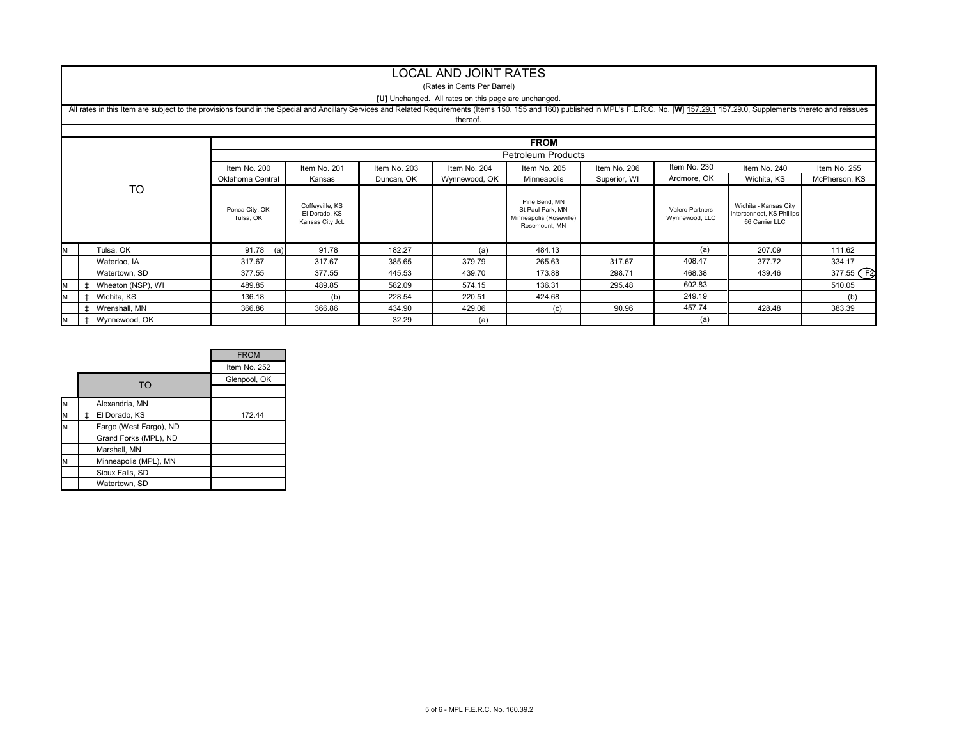#### LOCAL AND JOINT RATES

#### (Rates in Cents Per Barrel)

#### **[U]** Unchanged. All rates on this page are unchanged.

|           |             | All rates in this Item are subject to the provisions found in the Special and Ancillary Services and Related Requirements (Items 150, 155 and 160) published in MPL's F.E.R.C. No. [W] 157.29.1 157.29.0, Supplements thereto |                             |                                                      |              | thereof.      |                                                                               |              |                                   |                                                                      |               |  |  |  |
|-----------|-------------|-------------------------------------------------------------------------------------------------------------------------------------------------------------------------------------------------------------------------------|-----------------------------|------------------------------------------------------|--------------|---------------|-------------------------------------------------------------------------------|--------------|-----------------------------------|----------------------------------------------------------------------|---------------|--|--|--|
|           |             |                                                                                                                                                                                                                               |                             |                                                      |              |               |                                                                               |              |                                   |                                                                      |               |  |  |  |
|           | <b>FROM</b> |                                                                                                                                                                                                                               |                             |                                                      |              |               |                                                                               |              |                                   |                                                                      |               |  |  |  |
|           |             |                                                                                                                                                                                                                               | <b>Petroleum Products</b>   |                                                      |              |               |                                                                               |              |                                   |                                                                      |               |  |  |  |
|           |             |                                                                                                                                                                                                                               | Item No. 200                | Item No. 201                                         | Item No. 203 | Item No. 204  | Item No. 205                                                                  | Item No. 206 | Item No. 230                      | Item No. 240                                                         | Item No. 255  |  |  |  |
|           |             |                                                                                                                                                                                                                               | Oklahoma Central            | Kansas                                               | Duncan, OK   | Wynnewood, OK | Minneapolis                                                                   | Superior, WI | Ardmore, OK                       | Wichita, KS                                                          | McPherson, KS |  |  |  |
| <b>TO</b> |             |                                                                                                                                                                                                                               | Ponca City, OK<br>Tulsa, OK | Coffeyville, KS<br>El Dorado, KS<br>Kansas City Jct. |              |               | Pine Bend, MN<br>St Paul Park, MN<br>Minneapolis (Roseville)<br>Rosemount, MN |              | Valero Partners<br>Wynnewood, LLC | Wichita - Kansas City<br>Interconnect, KS Phillips<br>66 Carrier LLC |               |  |  |  |
| M         |             | Tulsa, OK                                                                                                                                                                                                                     | 91.78<br>(a)                | 91.78                                                | 182.27       | (a)           | 484.13                                                                        |              | (a)                               | 207.09                                                               | 111.62        |  |  |  |
|           |             | Waterloo, IA                                                                                                                                                                                                                  | 317.67                      | 317.67                                               | 385.65       | 379.79        | 265.63                                                                        | 317.67       | 408.47                            | 377.72                                                               | 334.17        |  |  |  |
|           |             | Watertown, SD                                                                                                                                                                                                                 | 377.55                      | 377.55                                               | 445.53       | 439.70        | 173.88                                                                        | 298.71       | 468.38                            | 439.46                                                               | 377.55 F2     |  |  |  |
| IM.       | $\ddagger$  | Wheaton (NSP), WI                                                                                                                                                                                                             | 489.85                      | 489.85                                               | 582.09       | 574.15        | 136.31                                                                        | 295.48       | 602.83                            |                                                                      | 510.05        |  |  |  |
| M         | $\pm$       | Wichita, KS                                                                                                                                                                                                                   | 136.18                      | (b)                                                  | 228.54       | 220.51        | 424.68                                                                        |              | 249.19                            |                                                                      | (b)           |  |  |  |
|           |             | <b>t</b> Wrenshall, MN                                                                                                                                                                                                        | 366.86                      | 366.86                                               | 434.90       | 429.06        | (c)                                                                           | 90.96        | 457.74                            | 428.48                                                               | 383.39        |  |  |  |
| M         |             | ‡ Wynnewood, OK                                                                                                                                                                                                               |                             |                                                      | 32.29        | (a)           |                                                                               |              | (a)                               |                                                                      |               |  |  |  |

|   |                        | <b>FROM</b>  |
|---|------------------------|--------------|
|   |                        | Item No. 252 |
|   | TO                     | Glenpool, OK |
|   |                        |              |
| M | Alexandria, MN         |              |
| M | El Dorado, KS          | 172.44       |
| M | Fargo (West Fargo), ND |              |
|   | Grand Forks (MPL), ND  |              |
|   | Marshall, MN           |              |
| M | Minneapolis (MPL), MN  |              |
|   | Sioux Falls, SD        |              |
|   | Watertown, SD          |              |